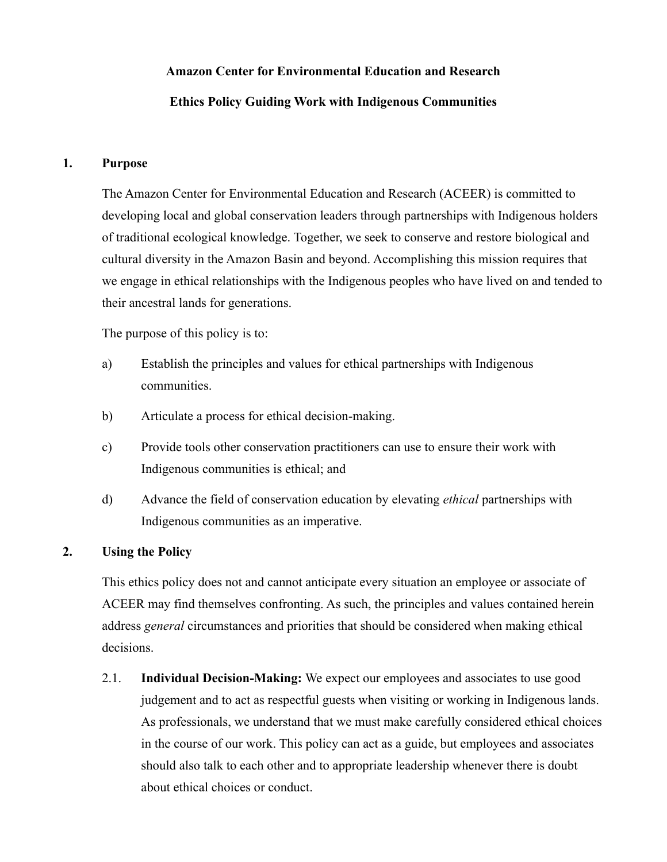# **Amazon Center for Environmental Education and Research**

# **Ethics Policy Guiding Work with Indigenous Communities**

### **1. Purpose**

The Amazon Center for Environmental Education and Research (ACEER) is committed to developing local and global conservation leaders through partnerships with Indigenous holders of traditional ecological knowledge. Together, we seek to conserve and restore biological and cultural diversity in the Amazon Basin and beyond. Accomplishing this mission requires that we engage in ethical relationships with the Indigenous peoples who have lived on and tended to their ancestral lands for generations.

The purpose of this policy is to:

- a) Establish the principles and values for ethical partnerships with Indigenous communities.
- b) Articulate a process for ethical decision-making.
- c) Provide tools other conservation practitioners can use to ensure their work with Indigenous communities is ethical; and
- d) Advance the field of conservation education by elevating *ethical* partnerships with Indigenous communities as an imperative.

## **2. Using the Policy**

This ethics policy does not and cannot anticipate every situation an employee or associate of ACEER may find themselves confronting. As such, the principles and values contained herein address *general* circumstances and priorities that should be considered when making ethical decisions.

2.1. **Individual Decision-Making:** We expect our employees and associates to use good judgement and to act as respectful guests when visiting or working in Indigenous lands. As professionals, we understand that we must make carefully considered ethical choices in the course of our work. This policy can act as a guide, but employees and associates should also talk to each other and to appropriate leadership whenever there is doubt about ethical choices or conduct.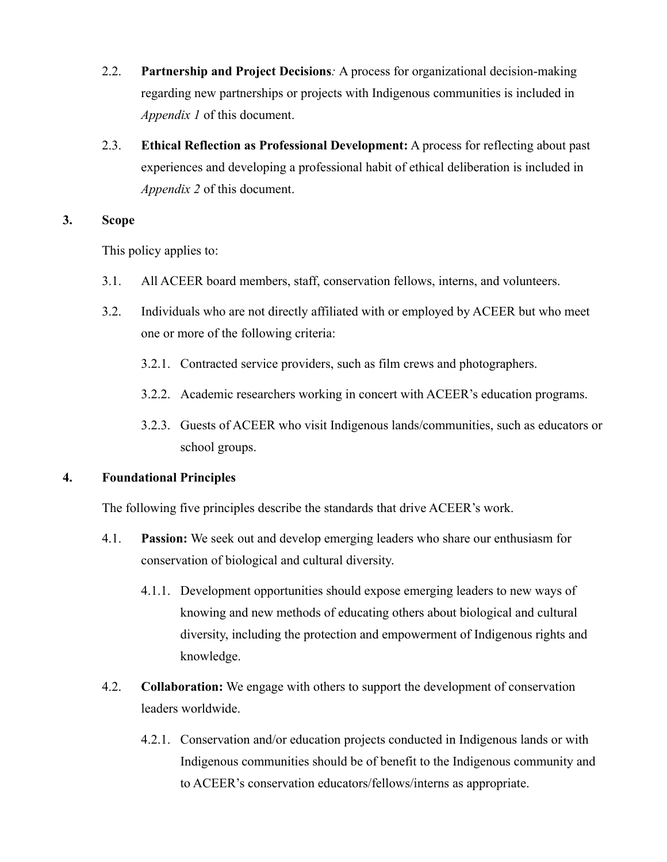- 2.2. **Partnership and Project Decisions***:* A process for organizational decision-making regarding new partnerships or projects with Indigenous communities is included in *Appendix 1* of this document.
- 2.3. **Ethical Reflection as Professional Development:** A process for reflecting about past experiences and developing a professional habit of ethical deliberation is included in *Appendix 2* of this document.

### **3. Scope**

This policy applies to:

- 3.1. All ACEER board members, staff, conservation fellows, interns, and volunteers.
- 3.2. Individuals who are not directly affiliated with or employed by ACEER but who meet one or more of the following criteria:
	- 3.2.1. Contracted service providers, such as film crews and photographers.
	- 3.2.2. Academic researchers working in concert with ACEER's education programs.
	- 3.2.3. Guests of ACEER who visit Indigenous lands/communities, such as educators or school groups.

### **4. Foundational Principles**

The following five principles describe the standards that drive ACEER's work.

- 4.1. **Passion:** We seek out and develop emerging leaders who share our enthusiasm for conservation of biological and cultural diversity.
	- 4.1.1. Development opportunities should expose emerging leaders to new ways of knowing and new methods of educating others about biological and cultural diversity, including the protection and empowerment of Indigenous rights and knowledge.
- 4.2. **Collaboration:** We engage with others to support the development of conservation leaders worldwide.
	- 4.2.1. Conservation and/or education projects conducted in Indigenous lands or with Indigenous communities should be of benefit to the Indigenous community and to ACEER's conservation educators/fellows/interns as appropriate.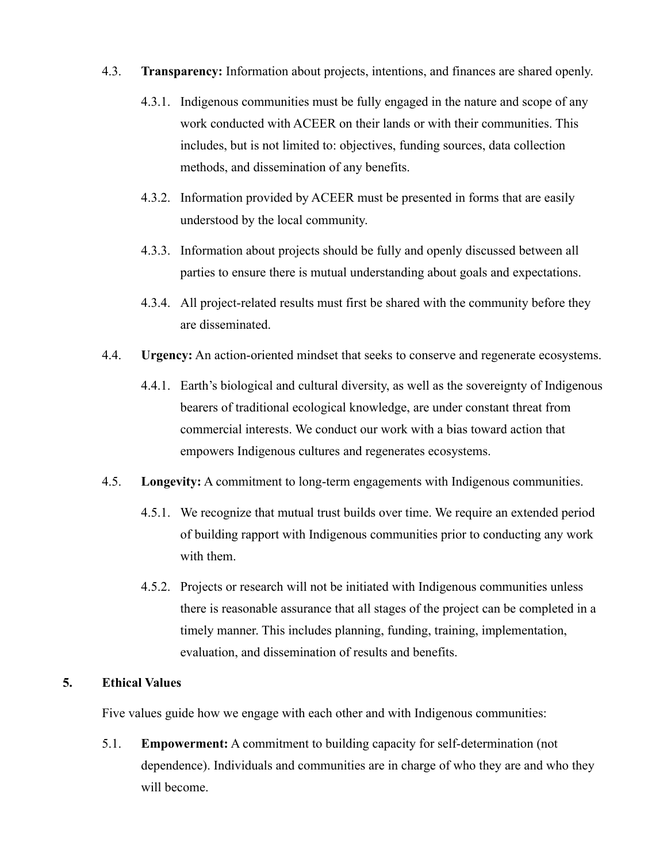- 4.3. **Transparency:** Information about projects, intentions, and finances are shared openly.
	- 4.3.1. Indigenous communities must be fully engaged in the nature and scope of any work conducted with ACEER on their lands or with their communities. This includes, but is not limited to: objectives, funding sources, data collection methods, and dissemination of any benefits.
	- 4.3.2. Information provided by ACEER must be presented in forms that are easily understood by the local community.
	- 4.3.3. Information about projects should be fully and openly discussed between all parties to ensure there is mutual understanding about goals and expectations.
	- 4.3.4. All project-related results must first be shared with the community before they are disseminated.
- 4.4. **Urgency:** An action-oriented mindset that seeks to conserve and regenerate ecosystems.
	- 4.4.1. Earth's biological and cultural diversity, as well as the sovereignty of Indigenous bearers of traditional ecological knowledge, are under constant threat from commercial interests. We conduct our work with a bias toward action that empowers Indigenous cultures and regenerates ecosystems.
- 4.5. **Longevity:** A commitment to long-term engagements with Indigenous communities.
	- 4.5.1. We recognize that mutual trust builds over time. We require an extended period of building rapport with Indigenous communities prior to conducting any work with them.
	- 4.5.2. Projects or research will not be initiated with Indigenous communities unless there is reasonable assurance that all stages of the project can be completed in a timely manner. This includes planning, funding, training, implementation, evaluation, and dissemination of results and benefits.

### **5. Ethical Values**

Five values guide how we engage with each other and with Indigenous communities:

5.1. **Empowerment:** A commitment to building capacity for self-determination (not dependence). Individuals and communities are in charge of who they are and who they will become.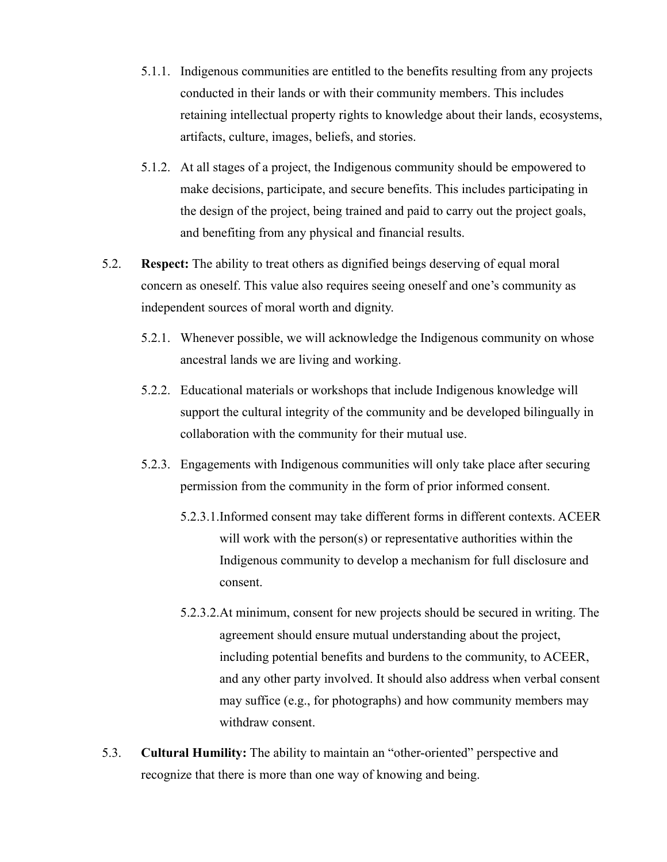- 5.1.1. Indigenous communities are entitled to the benefits resulting from any projects conducted in their lands or with their community members. This includes retaining intellectual property rights to knowledge about their lands, ecosystems, artifacts, culture, images, beliefs, and stories.
- 5.1.2. At all stages of a project, the Indigenous community should be empowered to make decisions, participate, and secure benefits. This includes participating in the design of the project, being trained and paid to carry out the project goals, and benefiting from any physical and financial results.
- 5.2. **Respect:** The ability to treat others as dignified beings deserving of equal moral concern as oneself. This value also requires seeing oneself and one's community as independent sources of moral worth and dignity.
	- 5.2.1. Whenever possible, we will acknowledge the Indigenous community on whose ancestral lands we are living and working.
	- 5.2.2. Educational materials or workshops that include Indigenous knowledge will support the cultural integrity of the community and be developed bilingually in collaboration with the community for their mutual use.
	- 5.2.3. Engagements with Indigenous communities will only take place after securing permission from the community in the form of prior informed consent.
		- 5.2.3.1.Informed consent may take different forms in different contexts. ACEER will work with the person(s) or representative authorities within the Indigenous community to develop a mechanism for full disclosure and consent.
		- 5.2.3.2.At minimum, consent for new projects should be secured in writing. The agreement should ensure mutual understanding about the project, including potential benefits and burdens to the community, to ACEER, and any other party involved. It should also address when verbal consent may suffice (e.g., for photographs) and how community members may withdraw consent.
- 5.3. **Cultural Humility:** The ability to maintain an "other-oriented" perspective and recognize that there is more than one way of knowing and being.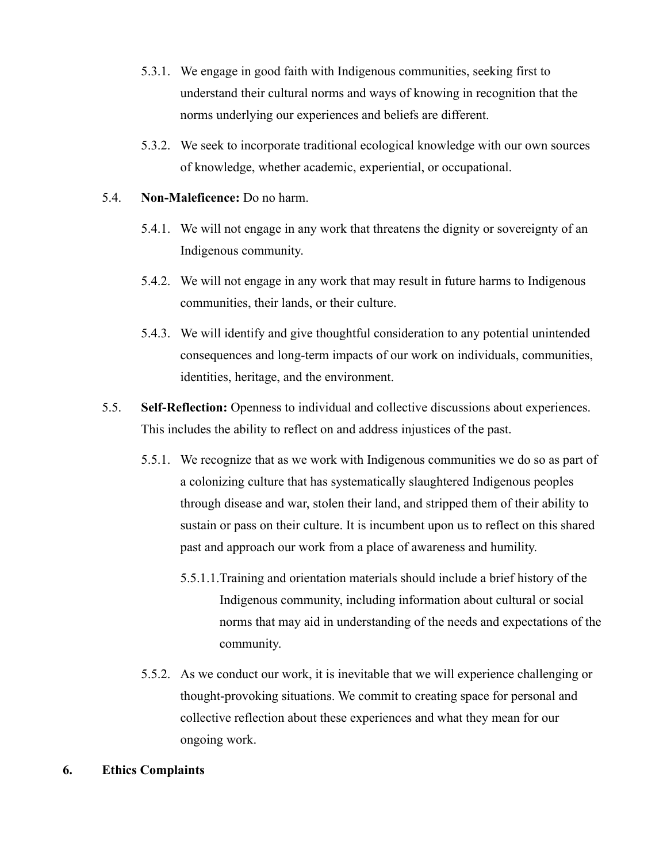- 5.3.1. We engage in good faith with Indigenous communities, seeking first to understand their cultural norms and ways of knowing in recognition that the norms underlying our experiences and beliefs are different.
- 5.3.2. We seek to incorporate traditional ecological knowledge with our own sources of knowledge, whether academic, experiential, or occupational.

### 5.4. **Non-Maleficence:** Do no harm.

- 5.4.1. We will not engage in any work that threatens the dignity or sovereignty of an Indigenous community.
- 5.4.2. We will not engage in any work that may result in future harms to Indigenous communities, their lands, or their culture.
- 5.4.3. We will identify and give thoughtful consideration to any potential unintended consequences and long-term impacts of our work on individuals, communities, identities, heritage, and the environment.
- 5.5. **Self-Reflection:** Openness to individual and collective discussions about experiences. This includes the ability to reflect on and address injustices of the past.
	- 5.5.1. We recognize that as we work with Indigenous communities we do so as part of a colonizing culture that has systematically slaughtered Indigenous peoples through disease and war, stolen their land, and stripped them of their ability to sustain or pass on their culture. It is incumbent upon us to reflect on this shared past and approach our work from a place of awareness and humility.
		- 5.5.1.1.Training and orientation materials should include a brief history of the Indigenous community, including information about cultural or social norms that may aid in understanding of the needs and expectations of the community.
	- 5.5.2. As we conduct our work, it is inevitable that we will experience challenging or thought-provoking situations. We commit to creating space for personal and collective reflection about these experiences and what they mean for our ongoing work.

### **6. Ethics Complaints**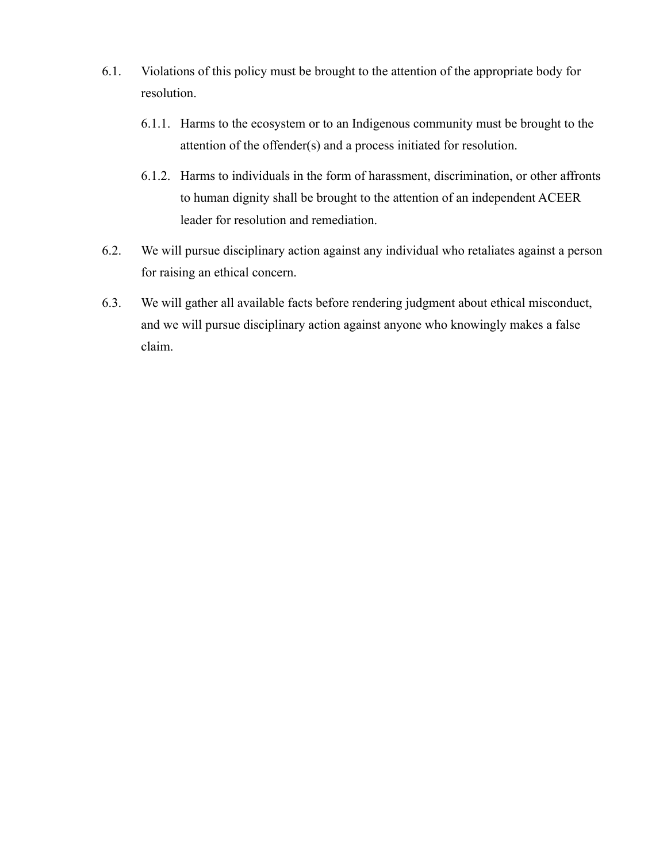- 6.1. Violations of this policy must be brought to the attention of the appropriate body for resolution.
	- 6.1.1. Harms to the ecosystem or to an Indigenous community must be brought to the attention of the offender(s) and a process initiated for resolution.
	- 6.1.2. Harms to individuals in the form of harassment, discrimination, or other affronts to human dignity shall be brought to the attention of an independent ACEER leader for resolution and remediation.
- 6.2. We will pursue disciplinary action against any individual who retaliates against a person for raising an ethical concern.
- 6.3. We will gather all available facts before rendering judgment about ethical misconduct, and we will pursue disciplinary action against anyone who knowingly makes a false claim.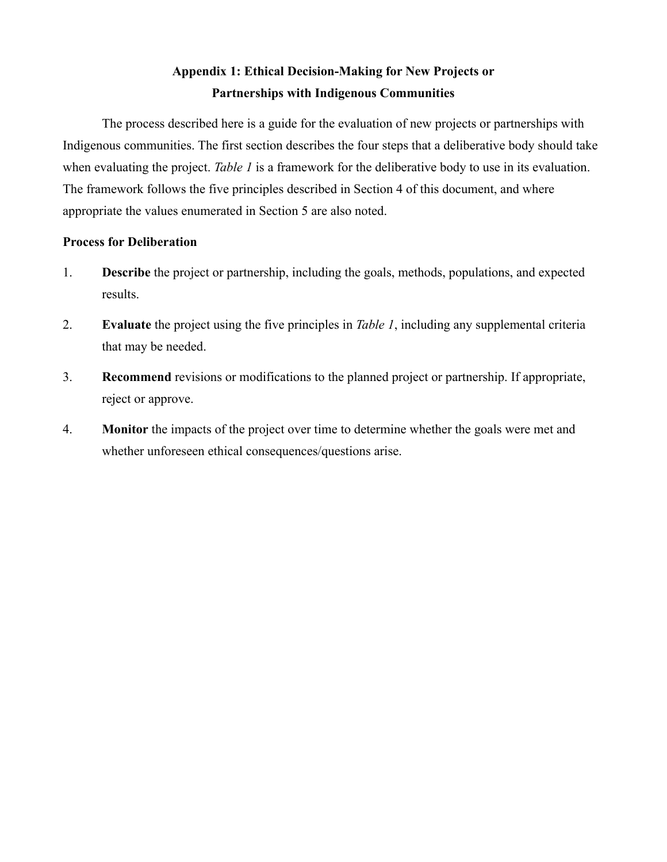# **Appendix 1: Ethical Decision-Making for New Projects or Partnerships with Indigenous Communities**

The process described here is a guide for the evaluation of new projects or partnerships with Indigenous communities. The first section describes the four steps that a deliberative body should take when evaluating the project. *Table 1* is a framework for the deliberative body to use in its evaluation. The framework follows the five principles described in Section 4 of this document, and where appropriate the values enumerated in Section 5 are also noted.

### **Process for Deliberation**

- 1. **Describe** the project or partnership, including the goals, methods, populations, and expected results.
- 2. **Evaluate** the project using the five principles in *Table 1*, including any supplemental criteria that may be needed.
- 3. **Recommend** revisions or modifications to the planned project or partnership. If appropriate, reject or approve.
- 4. **Monitor** the impacts of the project over time to determine whether the goals were met and whether unforeseen ethical consequences/questions arise.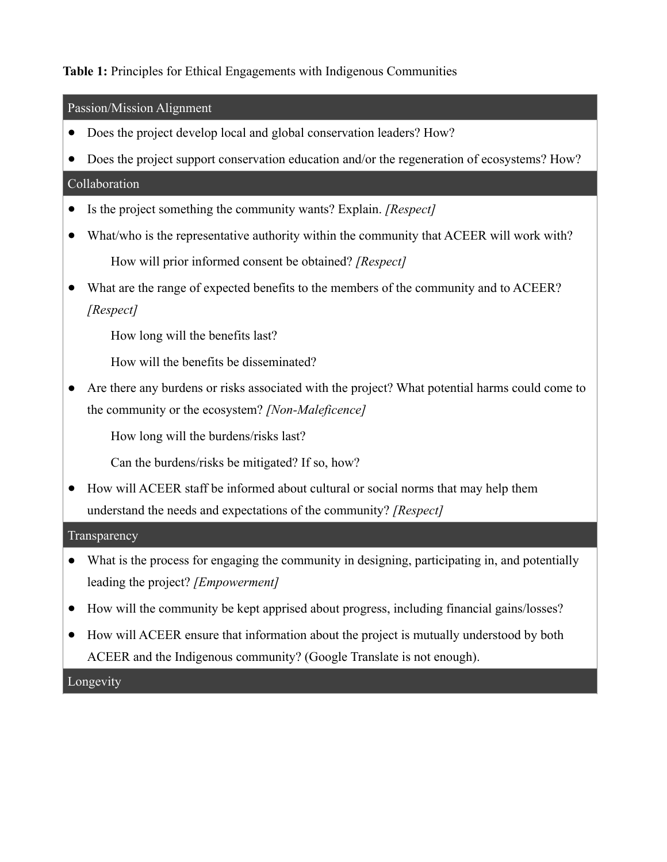# **Table 1:** Principles for Ethical Engagements with Indigenous Communities

Passion/Mission Alignment

- Does the project develop local and global conservation leaders? How?
- Does the project support conservation education and/or the regeneration of ecosystems? How?

### Collaboration

- Is the project something the community wants? Explain. *[Respect]*
- What/who is the representative authority within the community that ACEER will work with? How will prior informed consent be obtained? *[Respect]*
- What are the range of expected benefits to the members of the community and to ACEER? *[Respect]*
	- How long will the benefits last?
	- How will the benefits be disseminated?
- Are there any burdens or risks associated with the project? What potential harms could come to the community or the ecosystem? *[Non-Maleficence]*

How long will the burdens/risks last?

Can the burdens/risks be mitigated? If so, how?

● How will ACEER staff be informed about cultural or social norms that may help them understand the needs and expectations of the community? *[Respect]*

### **Transparency**

- What is the process for engaging the community in designing, participating in, and potentially leading the project? *[Empowerment]*
- How will the community be kept apprised about progress, including financial gains/losses?
- How will ACEER ensure that information about the project is mutually understood by both ACEER and the Indigenous community? (Google Translate is not enough).

Longevity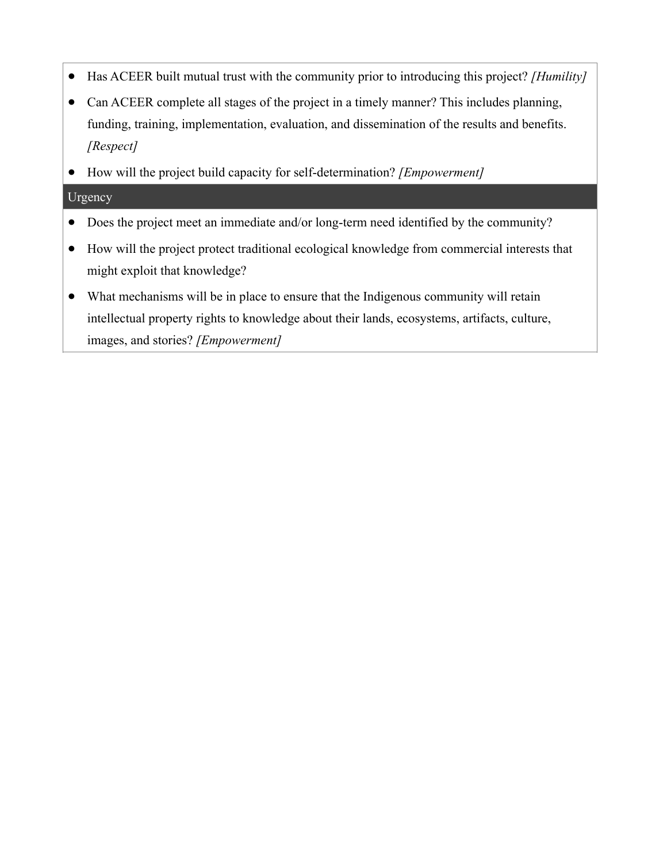- Has ACEER built mutual trust with the community prior to introducing this project? *[Humility]*
- Can ACEER complete all stages of the project in a timely manner? This includes planning, funding, training, implementation, evaluation, and dissemination of the results and benefits. *[Respect]*
- How will the project build capacity for self-determination? *[Empowerment]*

## Urgency

- Does the project meet an immediate and/or long-term need identified by the community?
- How will the project protect traditional ecological knowledge from commercial interests that might exploit that knowledge?
- What mechanisms will be in place to ensure that the Indigenous community will retain intellectual property rights to knowledge about their lands, ecosystems, artifacts, culture, images, and stories? *[Empowerment]*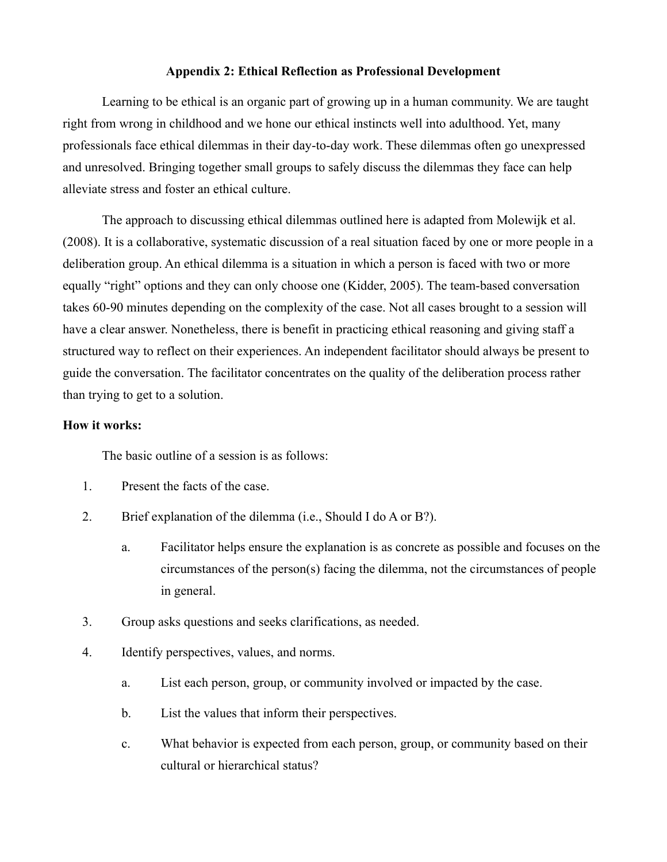#### **Appendix 2: Ethical Reflection as Professional Development**

Learning to be ethical is an organic part of growing up in a human community. We are taught right from wrong in childhood and we hone our ethical instincts well into adulthood. Yet, many professionals face ethical dilemmas in their day-to-day work. These dilemmas often go unexpressed and unresolved. Bringing together small groups to safely discuss the dilemmas they face can help alleviate stress and foster an ethical culture.

The approach to discussing ethical dilemmas outlined here is adapted from Molewijk et al. (2008). It is a collaborative, systematic discussion of a real situation faced by one or more people in a deliberation group. An ethical dilemma is a situation in which a person is faced with two or more equally "right" options and they can only choose one (Kidder, 2005). The team-based conversation takes 60-90 minutes depending on the complexity of the case. Not all cases brought to a session will have a clear answer. Nonetheless, there is benefit in practicing ethical reasoning and giving staff a structured way to reflect on their experiences. An independent facilitator should always be present to guide the conversation. The facilitator concentrates on the quality of the deliberation process rather than trying to get to a solution.

### **How it works:**

The basic outline of a session is as follows:

- 1. Present the facts of the case.
- 2. Brief explanation of the dilemma (i.e., Should I do A or B?).
	- a. Facilitator helps ensure the explanation is as concrete as possible and focuses on the circumstances of the person(s) facing the dilemma, not the circumstances of people in general.
- 3. Group asks questions and seeks clarifications, as needed.
- 4. Identify perspectives, values, and norms.
	- a. List each person, group, or community involved or impacted by the case.
	- b. List the values that inform their perspectives.
	- c. What behavior is expected from each person, group, or community based on their cultural or hierarchical status?